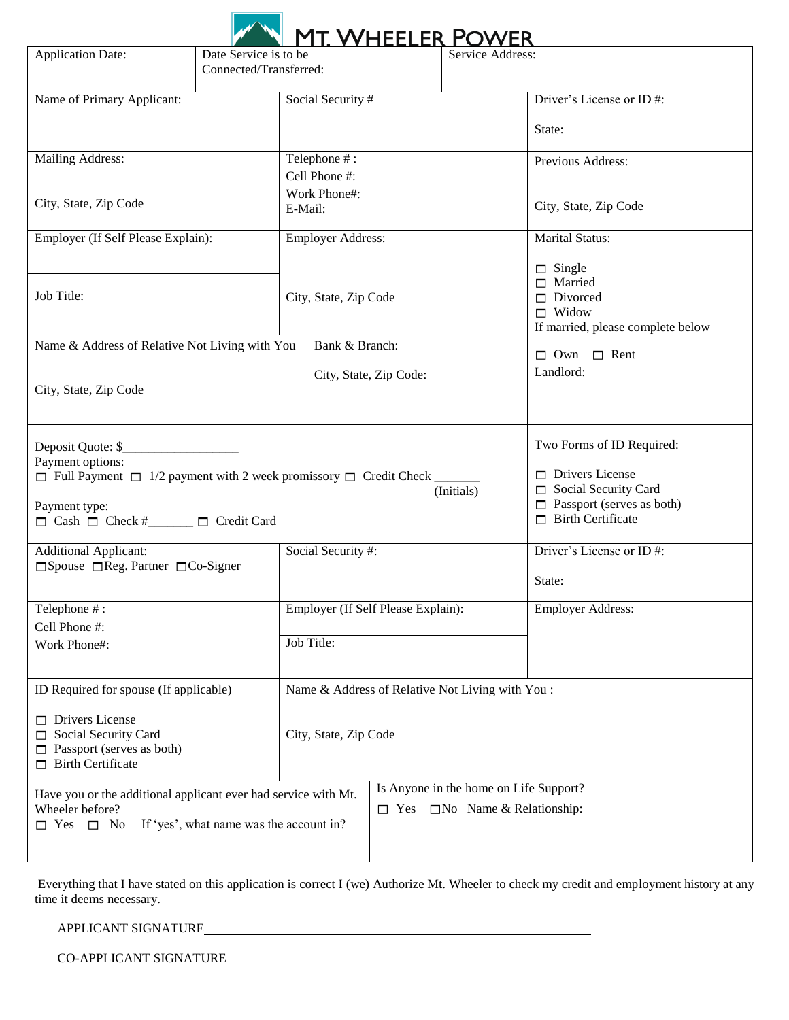|  |  |  |  |  |  |  |  | MT. WHEELER POWER |  |  |
|--|--|--|--|--|--|--|--|-------------------|--|--|
|  |  |  |  |  |  |  |  |                   |  |  |

| <b>Application Date:</b><br>Date Service is to be<br>Connected/Transferred:                                                                                                     |                               |                                    | I II. VVIILLLLIN I VVVLIN<br>Service Address:                                       |                                                                                                                                             |  |  |  |  |
|---------------------------------------------------------------------------------------------------------------------------------------------------------------------------------|-------------------------------|------------------------------------|-------------------------------------------------------------------------------------|---------------------------------------------------------------------------------------------------------------------------------------------|--|--|--|--|
|                                                                                                                                                                                 |                               |                                    |                                                                                     |                                                                                                                                             |  |  |  |  |
| Name of Primary Applicant:                                                                                                                                                      | Social Security #             |                                    |                                                                                     | Driver's License or ID#:                                                                                                                    |  |  |  |  |
|                                                                                                                                                                                 |                               |                                    |                                                                                     | State:                                                                                                                                      |  |  |  |  |
| Mailing Address:                                                                                                                                                                | Telephone #:                  |                                    |                                                                                     | Previous Address:                                                                                                                           |  |  |  |  |
|                                                                                                                                                                                 | Cell Phone #:<br>Work Phone#: |                                    |                                                                                     |                                                                                                                                             |  |  |  |  |
| City, State, Zip Code                                                                                                                                                           | E-Mail:                       |                                    |                                                                                     | City, State, Zip Code                                                                                                                       |  |  |  |  |
| Employer (If Self Please Explain):                                                                                                                                              | <b>Employer Address:</b>      |                                    |                                                                                     | <b>Marital Status:</b>                                                                                                                      |  |  |  |  |
| Job Title:                                                                                                                                                                      | City, State, Zip Code         |                                    |                                                                                     | $\Box$ Single<br>$\Box$ Married<br>$\Box$ Divorced<br>$\Box$ Widow<br>If married, please complete below                                     |  |  |  |  |
| Name & Address of Relative Not Living with You                                                                                                                                  | Bank & Branch:                |                                    |                                                                                     | $\Box$ Own $\Box$ Rent                                                                                                                      |  |  |  |  |
| City, State, Zip Code                                                                                                                                                           |                               | City, State, Zip Code:             |                                                                                     | Landlord:                                                                                                                                   |  |  |  |  |
| Payment options:<br>$\Box$ Full Payment $\Box$ 1/2 payment with 2 week promissory $\Box$ Credit Check _______<br>Payment type:<br>$\Box$ Cash $\Box$ Check # $\Box$ Credit Card | (Initials)                    |                                    |                                                                                     | Two Forms of ID Required:<br>$\Box$ Drivers License<br>Social Security Card<br>$\Box$ Passport (serves as both)<br>$\Box$ Birth Certificate |  |  |  |  |
| <b>Additional Applicant:</b>                                                                                                                                                    | Social Security #:            |                                    |                                                                                     | Driver's License or ID#:                                                                                                                    |  |  |  |  |
| $\Box$ Spouse $\Box$ Reg. Partner $\Box$ Co-Signer                                                                                                                              |                               |                                    |                                                                                     | State:                                                                                                                                      |  |  |  |  |
| Telephone #:                                                                                                                                                                    |                               | Employer (If Self Please Explain): |                                                                                     | <b>Employer Address:</b>                                                                                                                    |  |  |  |  |
| Cell Phone #:<br>Work Phone#:                                                                                                                                                   | Job Title:                    |                                    |                                                                                     |                                                                                                                                             |  |  |  |  |
|                                                                                                                                                                                 |                               |                                    |                                                                                     |                                                                                                                                             |  |  |  |  |
| ID Required for spouse (If applicable)                                                                                                                                          |                               |                                    | Name & Address of Relative Not Living with You :                                    |                                                                                                                                             |  |  |  |  |
| $\Box$ Drivers License<br>Social Security Card<br>Passport (serves as both)<br><b>Birth Certificate</b>                                                                         | City, State, Zip Code         |                                    |                                                                                     |                                                                                                                                             |  |  |  |  |
| Have you or the additional applicant ever had service with Mt.<br>Wheeler before?<br>If 'yes', what name was the account in?<br>$\Box$ Yes $\Box$ No                            |                               |                                    | Is Anyone in the home on Life Support?<br>$\Box$ Yes $\Box$ No Name & Relationship: |                                                                                                                                             |  |  |  |  |

Everything that I have stated on this application is correct I (we) Authorize Mt. Wheeler to check my credit and employment history at any time it deems necessary.

CO-APPLICANT SIGNATURE